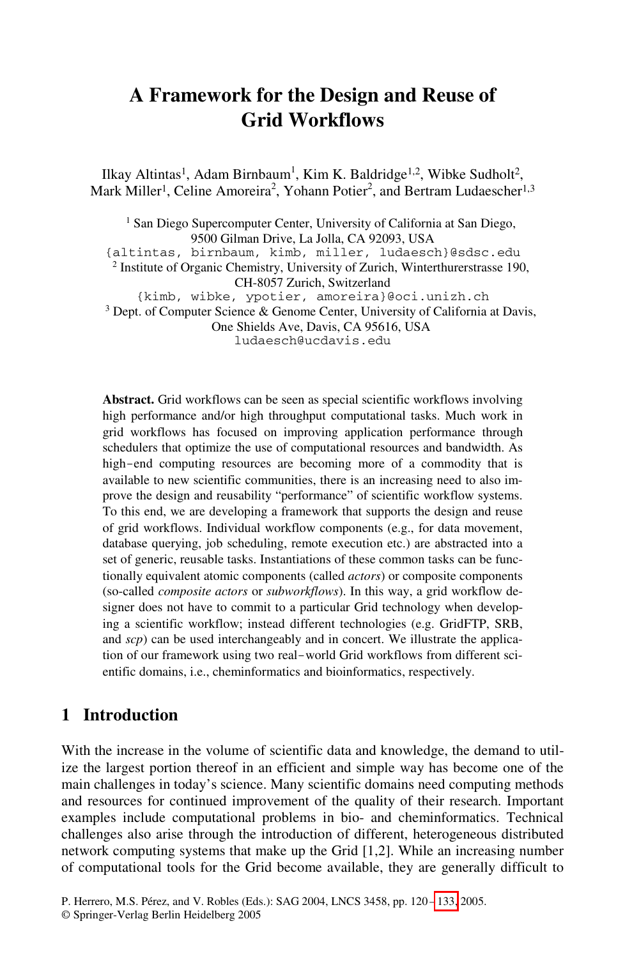# **A Framework for the Design and Reuse of Grid Workflows**

Ilkay Altintas<sup>1</sup>, Adam Birnbaum<sup>1</sup>, Kim K. Baldridge<sup>1,2</sup>, Wibke Sudholt<sup>2</sup>, Mark Miller<sup>1</sup>, Celine Amoreira<sup>2</sup>, Yohann Potier<sup>2</sup>, and Bertram Ludaescher<sup>1,3</sup>

1 San Diego Supercomputer Center, University of California at San Diego, 9500 Gilman Drive, La Jolla, CA 92093, USA {altintas, birnbaum, kimb, miller, ludaesch}@sdsc.edu 2 Institute of Organic Chemistry, University of Zurich, Winterthurerstrasse 190, CH-8057 Zurich, Switzerland {kimb, wibke, ypotier, amoreira}@oci.unizh.ch 3 Dept. of Computer Science & Genome Center, University of California at Davis, One Shields Ave, Davis, CA 95616, USA ludaesch@ucdavis.edu

**Abstract.** Grid workflows can be seen as special scientific workflows involving high performance and/or high throughput computational tasks. Much work in grid workflows has focused on improving application performance through schedulers that optimize the use of computational resources and bandwidth. As high-end computing resources are becoming more of a commodity that is available to new scientific communities, there is an increasing need to also improve the design and reusability "performance" of scientific workflow systems. To this end, we are developing a framework that supports the design and reuse of grid workflows. Individual workflow components (e.g., for data movement, database querying, job scheduling, remote execution etc.) are abstracted into a set of generic, reusable tasks. Instantiations of these common tasks can be functionally equivalent atomic components (called *actors*) or composite components (so-called *composite actors* or *subworkflows*). In this way, a grid workflow designer does not have to commit to a particular Grid technology when developing a scientific workflow; instead different technologies (e.g. GridFTP, SRB, and *scp*) can be used interchangeably and in concert. We illustrate the application of our framework using two real-world Grid workflows from different scientific domains, i.e., cheminformatics and bioinformatics, respectively.

### **1 Introduction**

With the increase in the volume of scientific data and knowledge, the demand to utilize the largest portion thereof in an efficient and simple way has become one of the main challenges in today's science. Many scientific domains need computing methods and resources for continued improvement of the quality of their research. Important examples include computational problems in bio- and cheminformatics. Technical challenges also arise through the introduction of different, heterogeneous distributed network computing systems that make up the Grid [1,2]. While an increasing number of computational tools for the Grid become available, they are generally difficult to

<sup>©</sup> Springer-Verlag Berlin Heidelberg 2005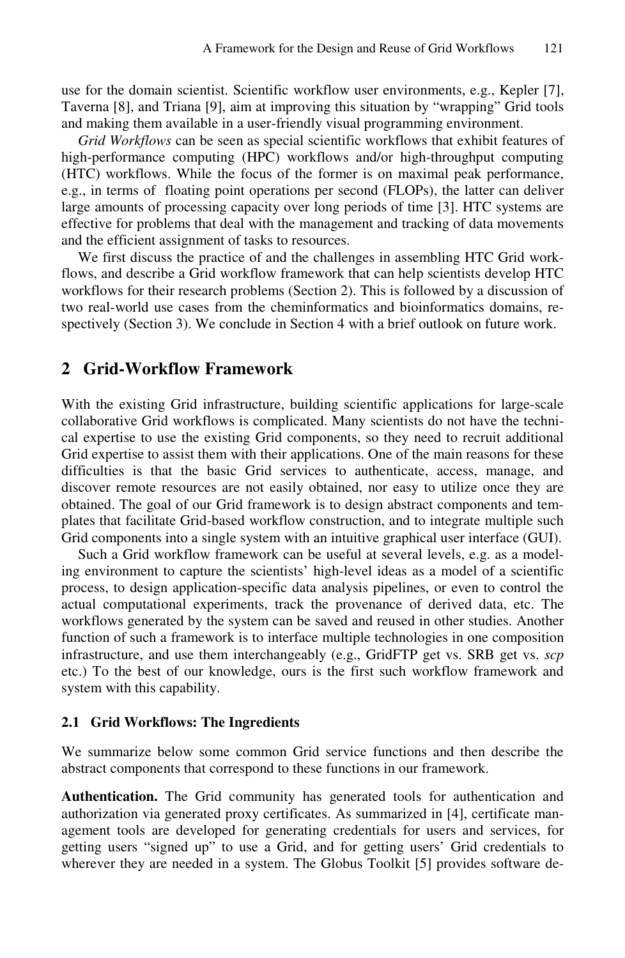use for the domain scientist. Scientific workflow user environments, e.g., Kepler [7], Taverna [8], and Triana [9], aim at improving this situation by "wrapping" Grid tools and making them available in a user-friendly visual programming environment.

*Grid Workflows* can be seen as special scientific workflows that exhibit features of high-performance computing (HPC) workflows and/or high-throughput computing (HTC) workflows. While the focus of the former is on maximal peak performance, e.g., in terms of floating point operations per second (FLOPs), the latter can deliver large amounts of processing capacity over long periods of time [3]. HTC systems are effective for problems that deal with the management and tracking of data movements and the efficient assignment of tasks to resources.

We first discuss the practice of and the challenges in assembling HTC Grid workflows, and describe a Grid workflow framework that can help scientists develop HTC workflows for their research problems (Section 2). This is followed by a discussion of two real-world use cases from the cheminformatics and bioinformatics domains, respectively (Section 3). We conclude in Section 4 with a brief outlook on future work.

#### **2 Grid-Workflow Framework**

With the existing Grid infrastructure, building scientific applications for large-scale collaborative Grid workflows is complicated. Many scientists do not have the technical expertise to use the existing Grid components, so they need to recruit additional Grid expertise to assist them with their applications. One of the main reasons for these difficulties is that the basic Grid services to authenticate, access, manage, and discover remote resources are not easily obtained, nor easy to utilize once they are obtained. The goal of our Grid framework is to design abstract components and templates that facilitate Grid-based workflow construction, and to integrate multiple such Grid components into a single system with an intuitive graphical user interface (GUI).

Such a Grid workflow framework can be useful at several levels, e.g. as a modeling environment to capture the scientists' high-level ideas as a model of a scientific process, to design application-specific data analysis pipelines, or even to control the actual computational experiments, track the provenance of derived data, etc. The workflows generated by the system can be saved and reused in other studies. Another function of such a framework is to interface multiple technologies in one composition infrastructure, and use them interchangeably (e.g., GridFTP get vs. SRB get vs. *scp* etc.) To the best of our knowledge, ours is the first such workflow framework and system with this capability.

#### **2.1 Grid Workflows: The Ingredients**

We summarize below some common Grid service functions and then describe the abstract components that correspond to these functions in our framework.

**Authentication.** The Grid community has generated tools for authentication and authorization via generated proxy certificates. As summarized in [4], certificate management tools are developed for generating credentials for users and services, for getting users "signed up" to use a Grid, and for getting users' Grid credentials to wherever they are needed in a system. The Globus Toolkit [5] provides software de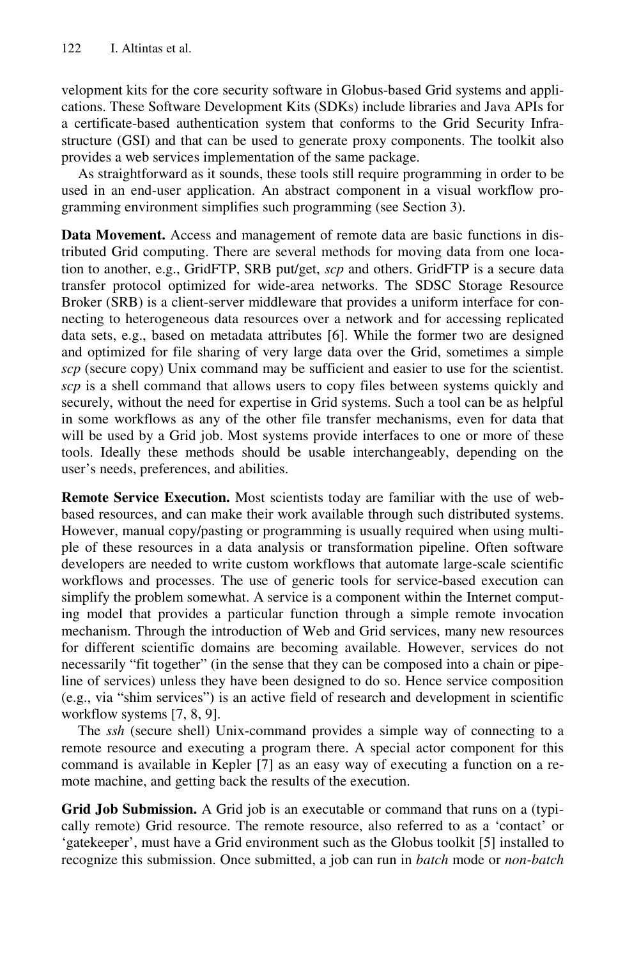velopment kits for the core security software in Globus-based Grid systems and applications. These Software Development Kits (SDKs) include libraries and Java APIs for a certificate-based authentication system that conforms to the Grid Security Infrastructure (GSI) and that can be used to generate proxy components. The toolkit also provides a web services implementation of the same package.

As straightforward as it sounds, these tools still require programming in order to be used in an end-user application. An abstract component in a visual workflow programming environment simplifies such programming (see Section 3).

**Data Movement.** Access and management of remote data are basic functions in distributed Grid computing. There are several methods for moving data from one location to another, e.g., GridFTP, SRB put/get, *scp* and others. GridFTP is a secure data transfer protocol optimized for wide-area networks. The SDSC Storage Resource Broker (SRB) is a client-server middleware that provides a uniform interface for connecting to heterogeneous data resources over a network and for accessing replicated data sets, e.g., based on metadata attributes [6]. While the former two are designed and optimized for file sharing of very large data over the Grid, sometimes a simple *scp* (secure copy) Unix command may be sufficient and easier to use for the scientist. *scp* is a shell command that allows users to copy files between systems quickly and securely, without the need for expertise in Grid systems. Such a tool can be as helpful in some workflows as any of the other file transfer mechanisms, even for data that will be used by a Grid job. Most systems provide interfaces to one or more of these tools. Ideally these methods should be usable interchangeably, depending on the user's needs, preferences, and abilities.

**Remote Service Execution.** Most scientists today are familiar with the use of webbased resources, and can make their work available through such distributed systems. However, manual copy/pasting or programming is usually required when using multiple of these resources in a data analysis or transformation pipeline. Often software developers are needed to write custom workflows that automate large-scale scientific workflows and processes. The use of generic tools for service-based execution can simplify the problem somewhat. A service is a component within the Internet computing model that provides a particular function through a simple remote invocation mechanism. Through the introduction of Web and Grid services, many new resources for different scientific domains are becoming available. However, services do not necessarily "fit together" (in the sense that they can be composed into a chain or pipeline of services) unless they have been designed to do so. Hence service composition (e.g., via "shim services") is an active field of research and development in scientific workflow systems [7, 8, 9].

The *ssh* (secure shell) Unix-command provides a simple way of connecting to a remote resource and executing a program there. A special actor component for this command is available in Kepler [7] as an easy way of executing a function on a remote machine, and getting back the results of the execution.

**Grid Job Submission.** A Grid job is an executable or command that runs on a (typically remote) Grid resource. The remote resource, also referred to as a 'contact' or 'gatekeeper', must have a Grid environment such as the Globus toolkit [5] installed to recognize this submission. Once submitted, a job can run in *batch* mode or *non-batch*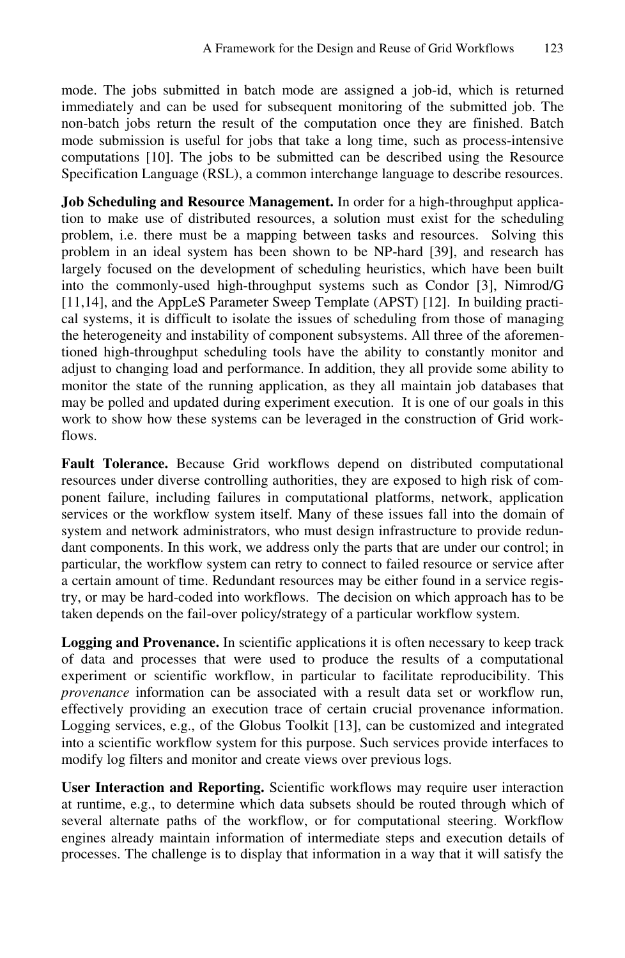mode. The jobs submitted in batch mode are assigned a job-id, which is returned immediately and can be used for subsequent monitoring of the submitted job. The non-batch jobs return the result of the computation once they are finished. Batch mode submission is useful for jobs that take a long time, such as process-intensive computations [10]. The jobs to be submitted can be described using the Resource Specification Language (RSL), a common interchange language to describe resources.

**Job Scheduling and Resource Management.** In order for a high-throughput application to make use of distributed resources, a solution must exist for the scheduling problem, i.e. there must be a mapping between tasks and resources. Solving this problem in an ideal system has been shown to be NP-hard [39], and research has largely focused on the development of scheduling heuristics, which have been built into the commonly-used high-throughput systems such as Condor [3], Nimrod/G [11,14], and the AppLeS Parameter Sweep Template (APST) [12]. In building practical systems, it is difficult to isolate the issues of scheduling from those of managing the heterogeneity and instability of component subsystems. All three of the aforementioned high-throughput scheduling tools have the ability to constantly monitor and adjust to changing load and performance. In addition, they all provide some ability to monitor the state of the running application, as they all maintain job databases that may be polled and updated during experiment execution. It is one of our goals in this work to show how these systems can be leveraged in the construction of Grid workflows.

**Fault Tolerance.** Because Grid workflows depend on distributed computational resources under diverse controlling authorities, they are exposed to high risk of component failure, including failures in computational platforms, network, application services or the workflow system itself. Many of these issues fall into the domain of system and network administrators, who must design infrastructure to provide redundant components. In this work, we address only the parts that are under our control; in particular, the workflow system can retry to connect to failed resource or service after a certain amount of time. Redundant resources may be either found in a service registry, or may be hard-coded into workflows. The decision on which approach has to be taken depends on the fail-over policy/strategy of a particular workflow system.

**Logging and Provenance.** In scientific applications it is often necessary to keep track of data and processes that were used to produce the results of a computational experiment or scientific workflow, in particular to facilitate reproducibility. This *provenance* information can be associated with a result data set or workflow run, effectively providing an execution trace of certain crucial provenance information. Logging services, e.g., of the Globus Toolkit [13], can be customized and integrated into a scientific workflow system for this purpose. Such services provide interfaces to modify log filters and monitor and create views over previous logs.

**User Interaction and Reporting.** Scientific workflows may require user interaction at runtime, e.g., to determine which data subsets should be routed through which of several alternate paths of the workflow, or for computational steering. Workflow engines already maintain information of intermediate steps and execution details of processes. The challenge is to display that information in a way that it will satisfy the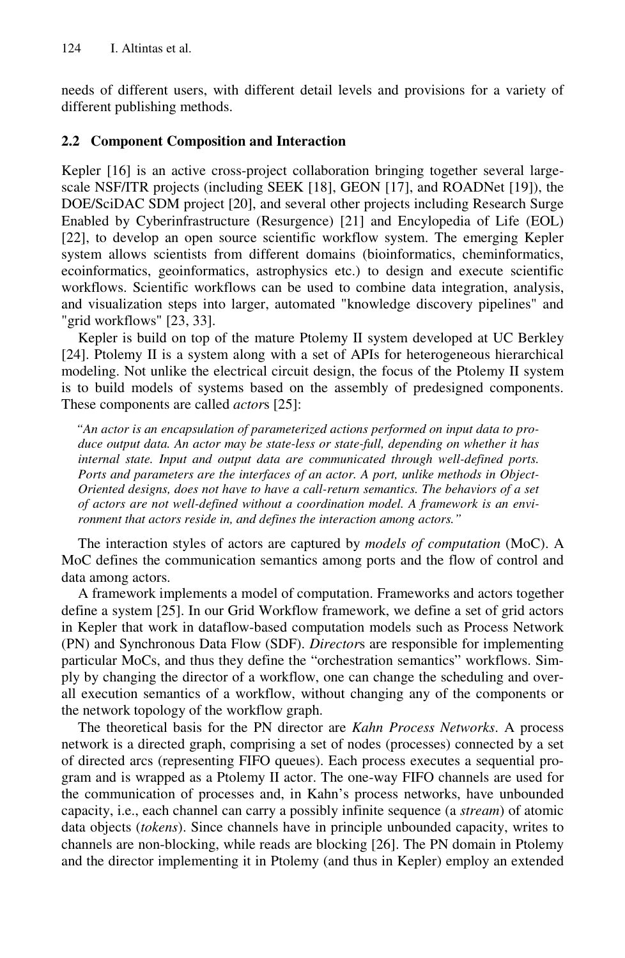needs of different users, with different detail levels and provisions for a variety of different publishing methods.

#### **2.2 Component Composition and Interaction**

Kepler [16] is an active cross-project collaboration bringing together several largescale NSF/ITR projects (including SEEK [18], GEON [17], and ROADNet [19]), the DOE/SciDAC SDM project [20], and several other projects including Research Surge Enabled by Cyberinfrastructure (Resurgence) [21] and Encylopedia of Life (EOL) [22], to develop an open source scientific workflow system. The emerging Kepler system allows scientists from different domains (bioinformatics, cheminformatics, ecoinformatics, geoinformatics, astrophysics etc.) to design and execute scientific workflows. Scientific workflows can be used to combine data integration, analysis, and visualization steps into larger, automated "knowledge discovery pipelines" and "grid workflows" [23, 33].

Kepler is build on top of the mature Ptolemy II system developed at UC Berkley [24]. Ptolemy II is a system along with a set of APIs for heterogeneous hierarchical modeling. Not unlike the electrical circuit design, the focus of the Ptolemy II system is to build models of systems based on the assembly of predesigned components. These components are called *actor*s [25]:

*"An actor is an encapsulation of parameterized actions performed on input data to produce output data. An actor may be state-less or state-full, depending on whether it has internal state. Input and output data are communicated through well-defined ports. Ports and parameters are the interfaces of an actor. A port, unlike methods in Object-Oriented designs, does not have to have a call-return semantics. The behaviors of a set of actors are not well-defined without a coordination model. A framework is an environment that actors reside in, and defines the interaction among actors."* 

The interaction styles of actors are captured by *models of computation* (MoC). A MoC defines the communication semantics among ports and the flow of control and data among actors.

A framework implements a model of computation. Frameworks and actors together define a system [25]. In our Grid Workflow framework, we define a set of grid actors in Kepler that work in dataflow-based computation models such as Process Network (PN) and Synchronous Data Flow (SDF). *Director*s are responsible for implementing particular MoCs, and thus they define the "orchestration semantics" workflows. Simply by changing the director of a workflow, one can change the scheduling and overall execution semantics of a workflow, without changing any of the components or the network topology of the workflow graph.

The theoretical basis for the PN director are *Kahn Process Networks*. A process network is a directed graph, comprising a set of nodes (processes) connected by a set of directed arcs (representing FIFO queues). Each process executes a sequential program and is wrapped as a Ptolemy II actor. The one-way FIFO channels are used for the communication of processes and, in Kahn's process networks, have unbounded capacity, i.e., each channel can carry a possibly infinite sequence (a *stream*) of atomic data objects (*tokens*). Since channels have in principle unbounded capacity, writes to channels are non-blocking, while reads are blocking [26]. The PN domain in Ptolemy and the director implementing it in Ptolemy (and thus in Kepler) employ an extended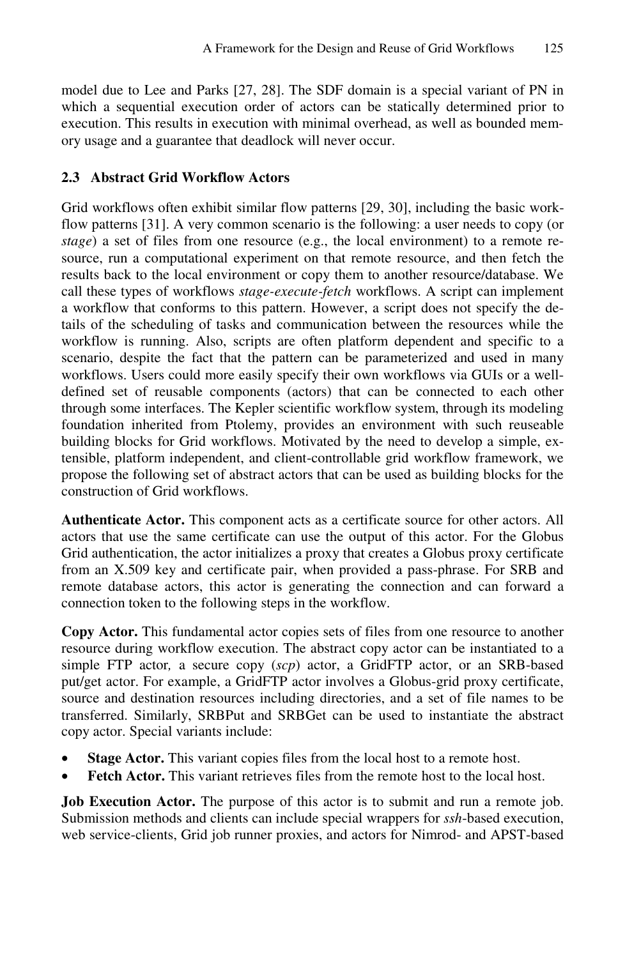model due to Lee and Parks [27, 28]. The SDF domain is a special variant of PN in which a sequential execution order of actors can be statically determined prior to execution. This results in execution with minimal overhead, as well as bounded memory usage and a guarantee that deadlock will never occur.

#### **2.3 Abstract Grid Workflow Actors**

Grid workflows often exhibit similar flow patterns [29, 30], including the basic workflow patterns [31]. A very common scenario is the following: a user needs to copy (or *stage*) a set of files from one resource (e.g., the local environment) to a remote resource, run a computational experiment on that remote resource, and then fetch the results back to the local environment or copy them to another resource/database. We call these types of workflows *stage-execute-fetch* workflows. A script can implement a workflow that conforms to this pattern. However, a script does not specify the details of the scheduling of tasks and communication between the resources while the workflow is running. Also, scripts are often platform dependent and specific to a scenario, despite the fact that the pattern can be parameterized and used in many workflows. Users could more easily specify their own workflows via GUIs or a welldefined set of reusable components (actors) that can be connected to each other through some interfaces. The Kepler scientific workflow system, through its modeling foundation inherited from Ptolemy, provides an environment with such reuseable building blocks for Grid workflows. Motivated by the need to develop a simple, extensible, platform independent, and client-controllable grid workflow framework, we propose the following set of abstract actors that can be used as building blocks for the construction of Grid workflows.

**Authenticate Actor.** This component acts as a certificate source for other actors. All actors that use the same certificate can use the output of this actor. For the Globus Grid authentication, the actor initializes a proxy that creates a Globus proxy certificate from an X.509 key and certificate pair, when provided a pass-phrase. For SRB and remote database actors, this actor is generating the connection and can forward a connection token to the following steps in the workflow.

**Copy Actor.** This fundamental actor copies sets of files from one resource to another resource during workflow execution. The abstract copy actor can be instantiated to a simple FTP actor*,* a secure copy (*scp*) actor, a GridFTP actor, or an SRB-based put/get actor. For example, a GridFTP actor involves a Globus-grid proxy certificate, source and destination resources including directories, and a set of file names to be transferred. Similarly, SRBPut and SRBGet can be used to instantiate the abstract copy actor. Special variants include:

- **Stage Actor.** This variant copies files from the local host to a remote host.
- Fetch Actor. This variant retrieves files from the remote host to the local host.

**Job Execution Actor.** The purpose of this actor is to submit and run a remote job. Submission methods and clients can include special wrappers for *ssh*-based execution, web service-clients, Grid job runner proxies, and actors for Nimrod- and APST-based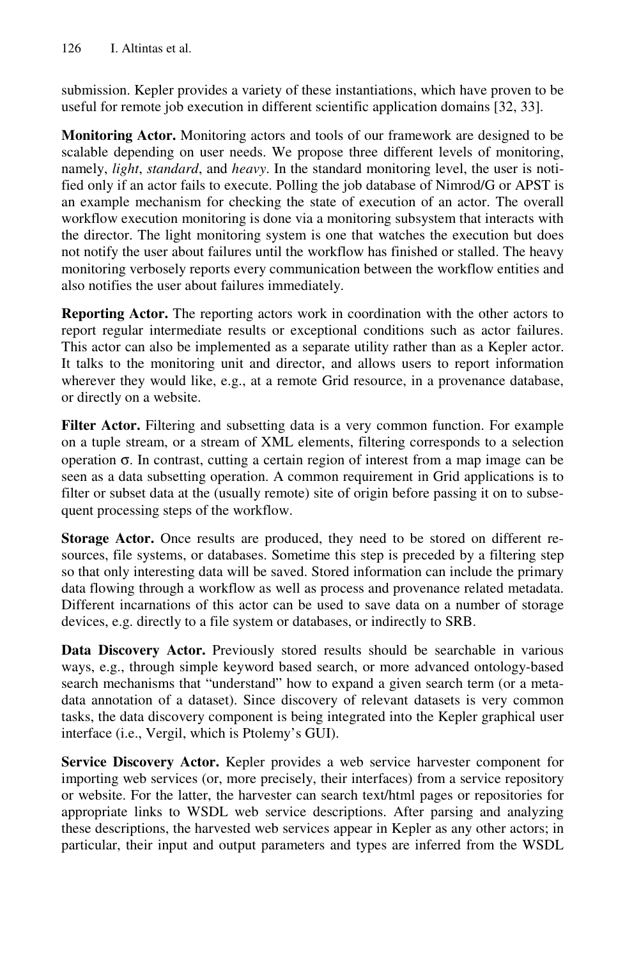submission. Kepler provides a variety of these instantiations, which have proven to be useful for remote job execution in different scientific application domains [32, 33].

**Monitoring Actor.** Monitoring actors and tools of our framework are designed to be scalable depending on user needs. We propose three different levels of monitoring, namely, *light*, *standard*, and *heavy*. In the standard monitoring level, the user is notified only if an actor fails to execute. Polling the job database of Nimrod/G or APST is an example mechanism for checking the state of execution of an actor. The overall workflow execution monitoring is done via a monitoring subsystem that interacts with the director. The light monitoring system is one that watches the execution but does not notify the user about failures until the workflow has finished or stalled. The heavy monitoring verbosely reports every communication between the workflow entities and also notifies the user about failures immediately.

**Reporting Actor.** The reporting actors work in coordination with the other actors to report regular intermediate results or exceptional conditions such as actor failures. This actor can also be implemented as a separate utility rather than as a Kepler actor. It talks to the monitoring unit and director, and allows users to report information wherever they would like, e.g., at a remote Grid resource, in a provenance database, or directly on a website.

**Filter Actor.** Filtering and subsetting data is a very common function. For example on a tuple stream, or a stream of XML elements, filtering corresponds to a selection operation σ. In contrast, cutting a certain region of interest from a map image can be seen as a data subsetting operation. A common requirement in Grid applications is to filter or subset data at the (usually remote) site of origin before passing it on to subsequent processing steps of the workflow.

**Storage Actor.** Once results are produced, they need to be stored on different resources, file systems, or databases. Sometime this step is preceded by a filtering step so that only interesting data will be saved. Stored information can include the primary data flowing through a workflow as well as process and provenance related metadata. Different incarnations of this actor can be used to save data on a number of storage devices, e.g. directly to a file system or databases, or indirectly to SRB.

**Data Discovery Actor.** Previously stored results should be searchable in various ways, e.g., through simple keyword based search, or more advanced ontology-based search mechanisms that "understand" how to expand a given search term (or a metadata annotation of a dataset). Since discovery of relevant datasets is very common tasks, the data discovery component is being integrated into the Kepler graphical user interface (i.e., Vergil, which is Ptolemy's GUI).

**Service Discovery Actor.** Kepler provides a web service harvester component for importing web services (or, more precisely, their interfaces) from a service repository or website. For the latter, the harvester can search text/html pages or repositories for appropriate links to WSDL web service descriptions. After parsing and analyzing these descriptions, the harvested web services appear in Kepler as any other actors; in particular, their input and output parameters and types are inferred from the WSDL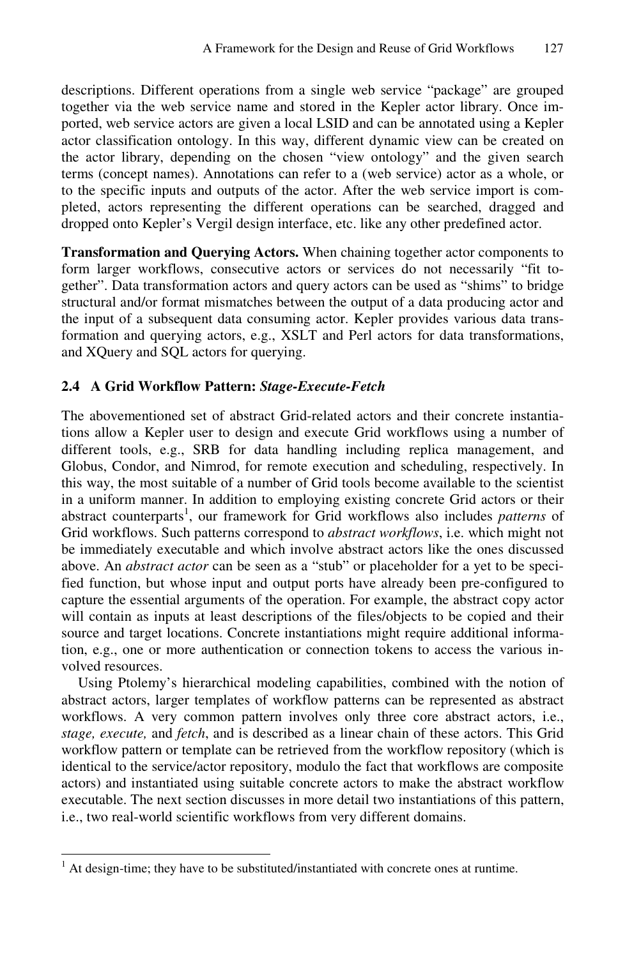descriptions. Different operations from a single web service "package" are grouped together via the web service name and stored in the Kepler actor library. Once imported, web service actors are given a local LSID and can be annotated using a Kepler actor classification ontology. In this way, different dynamic view can be created on the actor library, depending on the chosen "view ontology" and the given search terms (concept names). Annotations can refer to a (web service) actor as a whole, or to the specific inputs and outputs of the actor. After the web service import is completed, actors representing the different operations can be searched, dragged and dropped onto Kepler's Vergil design interface, etc. like any other predefined actor.

**Transformation and Querying Actors.** When chaining together actor components to form larger workflows, consecutive actors or services do not necessarily "fit together". Data transformation actors and query actors can be used as "shims" to bridge structural and/or format mismatches between the output of a data producing actor and the input of a subsequent data consuming actor. Kepler provides various data transformation and querying actors, e.g., XSLT and Perl actors for data transformations, and XQuery and SQL actors for querying.

### **2.4 A Grid Workflow Pattern:** *Stage-Execute-Fetch*

The abovementioned set of abstract Grid-related actors and their concrete instantiations allow a Kepler user to design and execute Grid workflows using a number of different tools, e.g., SRB for data handling including replica management, and Globus, Condor, and Nimrod, for remote execution and scheduling, respectively. In this way, the most suitable of a number of Grid tools become available to the scientist in a uniform manner. In addition to employing existing concrete Grid actors or their abstract counterparts<sup>1</sup>, our framework for Grid workflows also includes *patterns* of Grid workflows. Such patterns correspond to *abstract workflows*, i.e. which might not be immediately executable and which involve abstract actors like the ones discussed above. An *abstract actor* can be seen as a "stub" or placeholder for a yet to be specified function, but whose input and output ports have already been pre-configured to capture the essential arguments of the operation. For example, the abstract copy actor will contain as inputs at least descriptions of the files/objects to be copied and their source and target locations. Concrete instantiations might require additional information, e.g., one or more authentication or connection tokens to access the various involved resources.

Using Ptolemy's hierarchical modeling capabilities, combined with the notion of abstract actors, larger templates of workflow patterns can be represented as abstract workflows. A very common pattern involves only three core abstract actors, i.e., *stage, execute,* and *fetch*, and is described as a linear chain of these actors. This Grid workflow pattern or template can be retrieved from the workflow repository (which is identical to the service/actor repository, modulo the fact that workflows are composite actors) and instantiated using suitable concrete actors to make the abstract workflow executable. The next section discusses in more detail two instantiations of this pattern, i.e., two real-world scientific workflows from very different domains.

-

 $<sup>1</sup>$  At design-time; they have to be substituted/instantiated with concrete ones at runtime.</sup>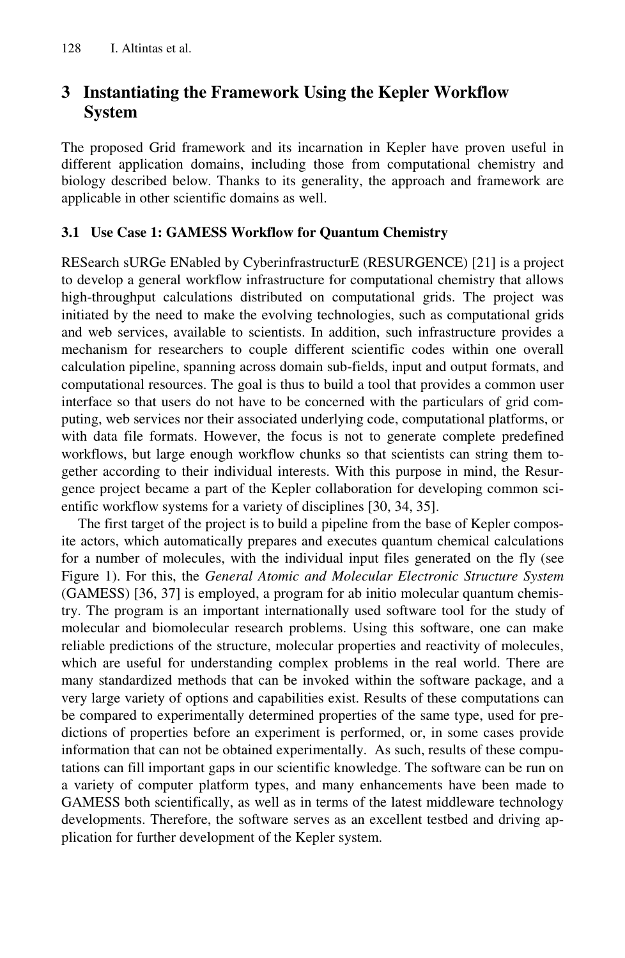# **3 Instantiating the Framework Using the Kepler Workflow System**

The proposed Grid framework and its incarnation in Kepler have proven useful in different application domains, including those from computational chemistry and biology described below. Thanks to its generality, the approach and framework are applicable in other scientific domains as well.

#### **3.1 Use Case 1: GAMESS Workflow for Quantum Chemistry**

RESearch sURGe ENabled by CyberinfrastructurE (RESURGENCE) [21] is a project to develop a general workflow infrastructure for computational chemistry that allows high-throughput calculations distributed on computational grids. The project was initiated by the need to make the evolving technologies, such as computational grids and web services, available to scientists. In addition, such infrastructure provides a mechanism for researchers to couple different scientific codes within one overall calculation pipeline, spanning across domain sub-fields, input and output formats, and computational resources. The goal is thus to build a tool that provides a common user interface so that users do not have to be concerned with the particulars of grid computing, web services nor their associated underlying code, computational platforms, or with data file formats. However, the focus is not to generate complete predefined workflows, but large enough workflow chunks so that scientists can string them together according to their individual interests. With this purpose in mind, the Resurgence project became a part of the Kepler collaboration for developing common scientific workflow systems for a variety of disciplines [30, 34, 35].

The first target of the project is to build a pipeline from the base of Kepler composite actors, which automatically prepares and executes quantum chemical calculations for a number of molecules, with the individual input files generated on the fly (see Figure 1). For this, the *General Atomic and Molecular Electronic Structure System* (GAMESS) [36, 37] is employed, a program for ab initio molecular quantum chemistry. The program is an important internationally used software tool for the study of molecular and biomolecular research problems. Using this software, one can make reliable predictions of the structure, molecular properties and reactivity of molecules, which are useful for understanding complex problems in the real world. There are many standardized methods that can be invoked within the software package, and a very large variety of options and capabilities exist. Results of these computations can be compared to experimentally determined properties of the same type, used for predictions of properties before an experiment is performed, or, in some cases provide information that can not be obtained experimentally. As such, results of these computations can fill important gaps in our scientific knowledge. The software can be run on a variety of computer platform types, and many enhancements have been made to GAMESS both scientifically, as well as in terms of the latest middleware technology developments. Therefore, the software serves as an excellent testbed and driving application for further development of the Kepler system.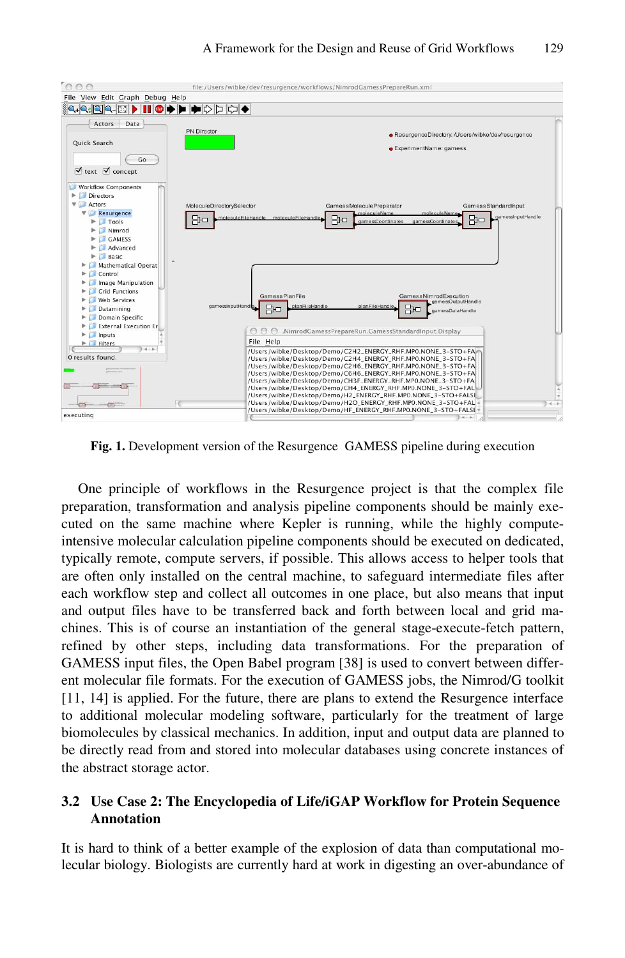

**Fig. 1.** Development version of the Resurgence GAMESS pipeline during execution

One principle of workflows in the Resurgence project is that the complex file preparation, transformation and analysis pipeline components should be mainly executed on the same machine where Kepler is running, while the highly computeintensive molecular calculation pipeline components should be executed on dedicated, typically remote, compute servers, if possible. This allows access to helper tools that are often only installed on the central machine, to safeguard intermediate files after each workflow step and collect all outcomes in one place, but also means that input and output files have to be transferred back and forth between local and grid machines. This is of course an instantiation of the general stage-execute-fetch pattern, refined by other steps, including data transformations. For the preparation of GAMESS input files, the Open Babel program [38] is used to convert between different molecular file formats. For the execution of GAMESS jobs, the Nimrod/G toolkit [11, 14] is applied. For the future, there are plans to extend the Resurgence interface to additional molecular modeling software, particularly for the treatment of large biomolecules by classical mechanics. In addition, input and output data are planned to be directly read from and stored into molecular databases using concrete instances of the abstract storage actor.

#### **3.2 Use Case 2: The Encyclopedia of Life/iGAP Workflow for Protein Sequence Annotation**

It is hard to think of a better example of the explosion of data than computational molecular biology. Biologists are currently hard at work in digesting an over-abundance of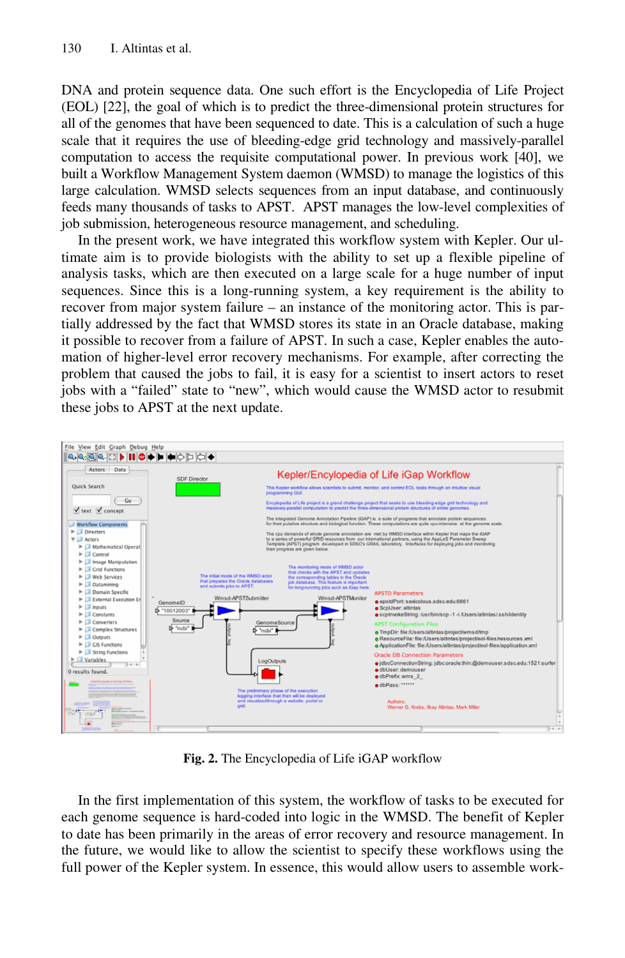DNA and protein sequence data. One such effort is the Encyclopedia of Life Project (EOL) [22], the goal of which is to predict the three-dimensional protein structures for all of the genomes that have been sequenced to date. This is a calculation of such a huge scale that it requires the use of bleeding-edge grid technology and massively-parallel computation to access the requisite computational power. In previous work [40], we built a Workflow Management System daemon (WMSD) to manage the logistics of this large calculation. WMSD selects sequences from an input database, and continuously feeds many thousands of tasks to APST. APST manages the low-level complexities of job submission, heterogeneous resource management, and scheduling.

In the present work, we have integrated this workflow system with Kepler. Our ultimate aim is to provide biologists with the ability to set up a flexible pipeline of analysis tasks, which are then executed on a large scale for a huge number of input sequences. Since this is a long-running system, a key requirement is the ability to recover from major system failure – an instance of the monitoring actor. This is partially addressed by the fact that WMSD stores its state in an Oracle database, making it possible to recover from a failure of APST. In such a case, Kepler enables the automation of higher-level error recovery mechanisms. For example, after correcting the problem that caused the jobs to fail, it is easy for a scientist to insert actors to reset jobs with a "failed" state to "new", which would cause the WMSD actor to resubmit these jobs to APST at the next update.



**Fig. 2.** The Encyclopedia of Life iGAP workflow

In the first implementation of this system, the workflow of tasks to be executed for each genome sequence is hard-coded into logic in the WMSD. The benefit of Kepler to date has been primarily in the areas of error recovery and resource management. In the future, we would like to allow the scientist to specify these workflows using the full power of the Kepler system. In essence, this would allow users to assemble work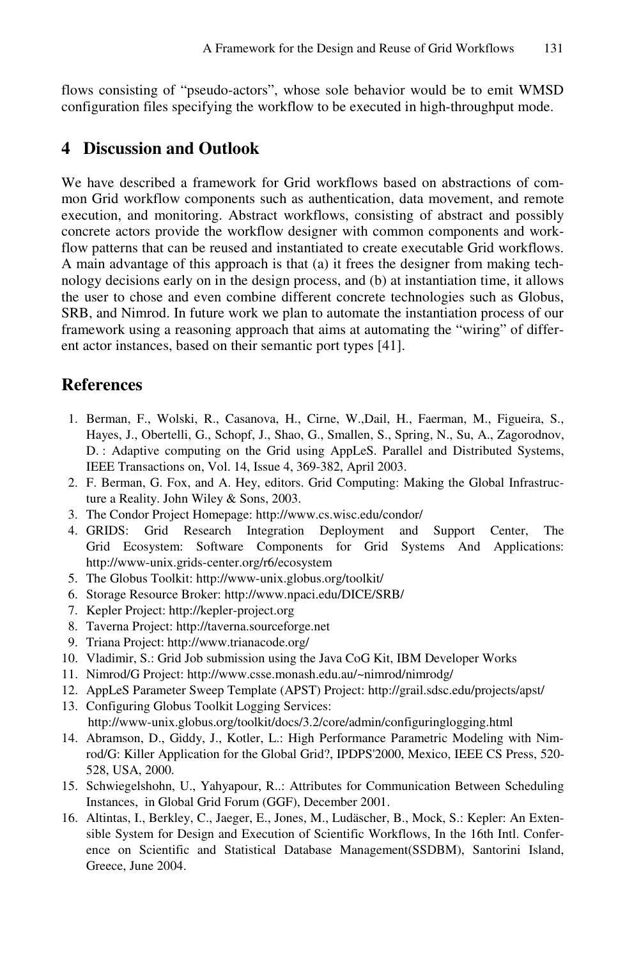flows consisting of "pseudo-actors", whose sole behavior would be to emit WMSD configuration files specifying the workflow to be executed in high-throughput mode.

# **4 Discussion and Outlook**

We have described a framework for Grid workflows based on abstractions of common Grid workflow components such as authentication, data movement, and remote execution, and monitoring. Abstract workflows, consisting of abstract and possibly concrete actors provide the workflow designer with common components and workflow patterns that can be reused and instantiated to create executable Grid workflows. A main advantage of this approach is that (a) it frees the designer from making technology decisions early on in the design process, and (b) at instantiation time, it allows the user to chose and even combine different concrete technologies such as Globus, SRB, and Nimrod. In future work we plan to automate the instantiation process of our framework using a reasoning approach that aims at automating the "wiring" of different actor instances, based on their semantic port types [41].

# **References**

- 1. Berman, F., Wolski, R., Casanova, H., Cirne, W.,Dail, H., Faerman, M., Figueira, S., Hayes, J., Obertelli, G., Schopf, J., Shao, G., Smallen, S., Spring, N., Su, A., Zagorodnov, D. : Adaptive computing on the Grid using AppLeS. Parallel and Distributed Systems, IEEE Transactions on, Vol. 14, Issue 4, 369-382, April 2003.
- 2. F. Berman, G. Fox, and A. Hey, editors. Grid Computing: Making the Global Infrastructure a Reality. John Wiley & Sons, 2003.
- 3. The Condor Project Homepage: http://www.cs.wisc.edu/condor/
- 4. GRIDS: Grid Research Integration Deployment and Support Center, The Grid Ecosystem: Software Components for Grid Systems And Applications: http://www-unix.grids-center.org/r6/ecosystem
- 5. The Globus Toolkit: http://www-unix.globus.org/toolkit/
- 6. Storage Resource Broker: http://www.npaci.edu/DICE/SRB/
- 7. Kepler Project: http://kepler-project.org
- 8. Taverna Project: http://taverna.sourceforge.net
- 9. Triana Project: http://www.trianacode.org/
- 10. Vladimir, S.: Grid Job submission using the Java CoG Kit, IBM Developer Works
- 11. Nimrod/G Project: http://www.csse.monash.edu.au/~nimrod/nimrodg/
- 12. AppLeS Parameter Sweep Template (APST) Project: http://grail.sdsc.edu/projects/apst/
- 13. Configuring Globus Toolkit Logging Services: http://www-unix.globus.org/toolkit/docs/3.2/core/admin/configuringlogging.html
- 14. Abramson, D., Giddy, J., Kotler, L.: High Performance Parametric Modeling with Nimrod/G: Killer Application for the Global Grid?, IPDPS'2000, Mexico, IEEE CS Press, 520- 528, USA, 2000.
- 15. Schwiegelshohn, U., Yahyapour, R..: Attributes for Communication Between Scheduling Instances, in Global Grid Forum (GGF), December 2001.
- 16. Altintas, I., Berkley, C., Jaeger, E., Jones, M., Ludäscher, B., Mock, S.: Kepler: An Extensible System for Design and Execution of Scientific Workflows, In the 16th Intl. Conference on Scientific and Statistical Database Management(SSDBM), Santorini Island, Greece, June 2004.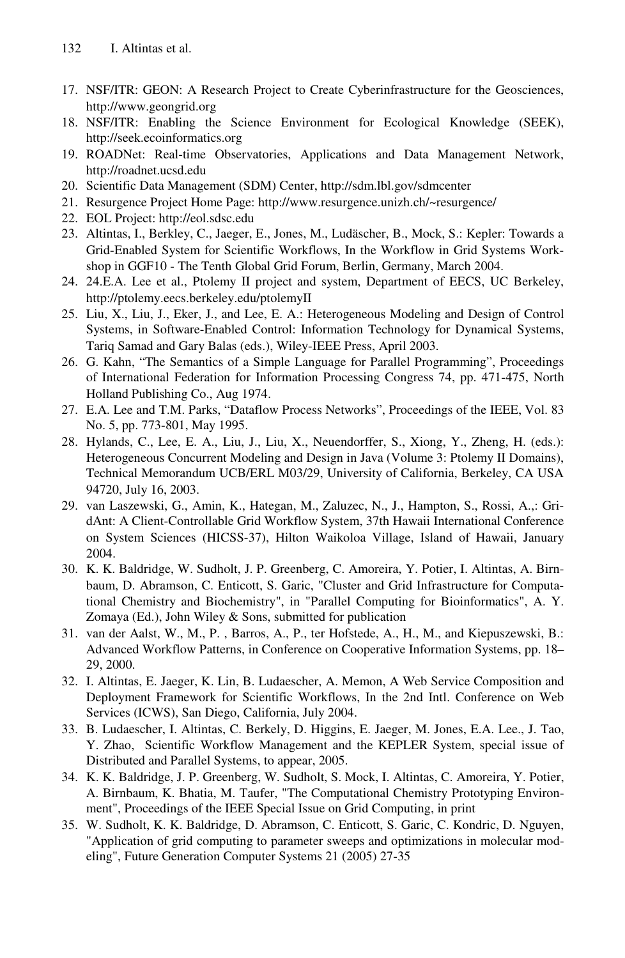- 17. NSF/ITR: GEON: A Research Project to Create Cyberinfrastructure for the Geosciences, http://www.geongrid.org
- 18. NSF/ITR: Enabling the Science Environment for Ecological Knowledge (SEEK), http://seek.ecoinformatics.org
- 19. ROADNet: Real-time Observatories, Applications and Data Management Network, http://roadnet.ucsd.edu
- 20. Scientific Data Management (SDM) Center, http://sdm.lbl.gov/sdmcenter
- 21. Resurgence Project Home Page: http://www.resurgence.unizh.ch/~resurgence/
- 22. EOL Project: http://eol.sdsc.edu
- 23. Altintas, I., Berkley, C., Jaeger, E., Jones, M., Ludäscher, B., Mock, S.: Kepler: Towards a Grid-Enabled System for Scientific Workflows, In the Workflow in Grid Systems Workshop in GGF10 - The Tenth Global Grid Forum, Berlin, Germany, March 2004.
- 24. 24.E.A. Lee et al., Ptolemy II project and system, Department of EECS, UC Berkeley, http://ptolemy.eecs.berkeley.edu/ptolemyII
- 25. Liu, X., Liu, J., Eker, J., and Lee, E. A.: Heterogeneous Modeling and Design of Control Systems, in Software-Enabled Control: Information Technology for Dynamical Systems, Tariq Samad and Gary Balas (eds.), Wiley-IEEE Press, April 2003.
- 26. G. Kahn, "The Semantics of a Simple Language for Parallel Programming", Proceedings of International Federation for Information Processing Congress 74, pp. 471-475, North Holland Publishing Co., Aug 1974.
- 27. E.A. Lee and T.M. Parks, "Dataflow Process Networks", Proceedings of the IEEE, Vol. 83 No. 5, pp. 773-801, May 1995.
- 28. Hylands, C., Lee, E. A., Liu, J., Liu, X., Neuendorffer, S., Xiong, Y., Zheng, H. (eds.): Heterogeneous Concurrent Modeling and Design in Java (Volume 3: Ptolemy II Domains), Technical Memorandum UCB/ERL M03/29, University of California, Berkeley, CA USA 94720, July 16, 2003.
- 29. van Laszewski, G., Amin, K., Hategan, M., Zaluzec, N., J., Hampton, S., Rossi, A.,: GridAnt: A Client-Controllable Grid Workflow System, 37th Hawaii International Conference on System Sciences (HICSS-37), Hilton Waikoloa Village, Island of Hawaii, January 2004.
- 30. K. K. Baldridge, W. Sudholt, J. P. Greenberg, C. Amoreira, Y. Potier, I. Altintas, A. Birnbaum, D. Abramson, C. Enticott, S. Garic, "Cluster and Grid Infrastructure for Computational Chemistry and Biochemistry", in "Parallel Computing for Bioinformatics", A. Y. Zomaya (Ed.), John Wiley & Sons, submitted for publication
- 31. van der Aalst, W., M., P. , Barros, A., P., ter Hofstede, A., H., M., and Kiepuszewski, B.: Advanced Workflow Patterns, in Conference on Cooperative Information Systems, pp. 18– 29, 2000.
- 32. I. Altintas, E. Jaeger, K. Lin, B. Ludaescher, A. Memon, A Web Service Composition and Deployment Framework for Scientific Workflows, In the 2nd Intl. Conference on Web Services (ICWS), San Diego, California, July 2004.
- 33. B. Ludaescher, I. Altintas, C. Berkely, D. Higgins, E. Jaeger, M. Jones, E.A. Lee., J. Tao, Y. Zhao, Scientific Workflow Management and the KEPLER System, special issue of Distributed and Parallel Systems, to appear, 2005.
- 34. K. K. Baldridge, J. P. Greenberg, W. Sudholt, S. Mock, I. Altintas, C. Amoreira, Y. Potier, A. Birnbaum, K. Bhatia, M. Taufer, "The Computational Chemistry Prototyping Environment", Proceedings of the IEEE Special Issue on Grid Computing, in print
- 35. W. Sudholt, K. K. Baldridge, D. Abramson, C. Enticott, S. Garic, C. Kondric, D. Nguyen, "Application of grid computing to parameter sweeps and optimizations in molecular modeling", Future Generation Computer Systems 21 (2005) 27-35